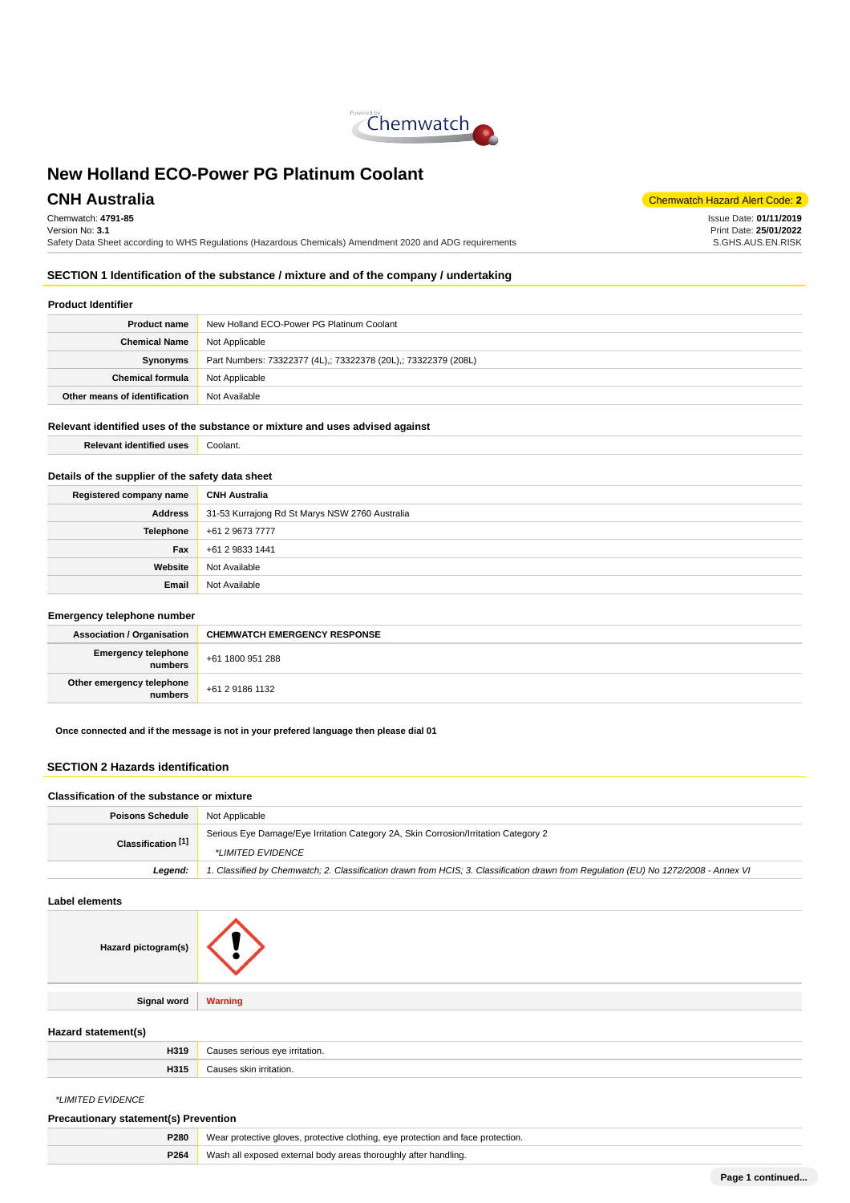

Chemwatch: **4791-85** Version No: **3.1** Safety Data Sheet according to WHS Regulations (Hazardous Chemicals) Amendment 2020 and ADG requirements

**CNH Australia** Chemwatch Hazard Alert Code: 2

Issue Date: **01/11/2019** Print Date: **25/01/2022** S.GHS.AUS.EN.RISK

## **SECTION 1 Identification of the substance / mixture and of the company / undertaking**

#### **Product Identifier**

| <b>Product name</b>           | New Holland ECO-Power PG Platinum Coolant                      |  |
|-------------------------------|----------------------------------------------------------------|--|
| <b>Chemical Name</b>          | Not Applicable                                                 |  |
| Synonyms                      | Part Numbers: 73322377 (4L),; 73322378 (20L),; 73322379 (208L) |  |
| <b>Chemical formula</b>       | Not Applicable                                                 |  |
| Other means of identification | Not Available                                                  |  |

#### **Relevant identified uses of the substance or mixture and uses advised against**

**Relevant identified uses** Coolant.

#### **Details of the supplier of the safety data sheet**

| <b>CNH Australia</b>                                             |
|------------------------------------------------------------------|
| <b>Address</b><br>31-53 Kurrajong Rd St Marys NSW 2760 Australia |
| +61 2 9673 7777                                                  |
| +61 2 9833 1441                                                  |
| Not Available                                                    |
| Not Available                                                    |
|                                                                  |

#### **Emergency telephone number**

| <b>Association / Organisation</b>    | <b>CHEMWATCH EMERGENCY RESPONSE</b> |  |
|--------------------------------------|-------------------------------------|--|
| Emergency telephone<br>numbers       | +61 1800 951 288                    |  |
| Other emergency telephone<br>numbers | +61 2 9186 1132                     |  |

**Once connected and if the message is not in your prefered language then please dial 01**

#### **SECTION 2 Hazards identification**

#### **Classification of the substance or mixture**

| <b>Poisons Schedule</b>       | Not Applicable                                                                                                                      |  |
|-------------------------------|-------------------------------------------------------------------------------------------------------------------------------------|--|
| Classification <sup>[1]</sup> | Serious Eye Damage/Eye Irritation Category 2A, Skin Corrosion/Irritation Category 2                                                 |  |
|                               | *LIMITED EVIDENCE                                                                                                                   |  |
| Leaend:                       | 1. Classified by Chemwatch; 2. Classification drawn from HCIS; 3. Classification drawn from Regulation (EU) No 1272/2008 - Annex VI |  |

#### **Label elements**

| Hazard pictogram(s) |         |
|---------------------|---------|
|                     |         |
| <b>Signal word</b>  | Warning |
|                     |         |

#### **Hazard statement(s)**

| H319 | ritation. |
|------|-----------|
| "    | serious   |
| H315 | ıti∩r     |

\*LIMITED EVIDENCE

#### **Precautionary statement(s) Prevention**

| Wear protective gloves, protective clothing, eye protection and face protection.<br><b>P280</b> |  |
|-------------------------------------------------------------------------------------------------|--|
| Wash all exposed external body areas thoroughly after handling.<br>P264                         |  |
|                                                                                                 |  |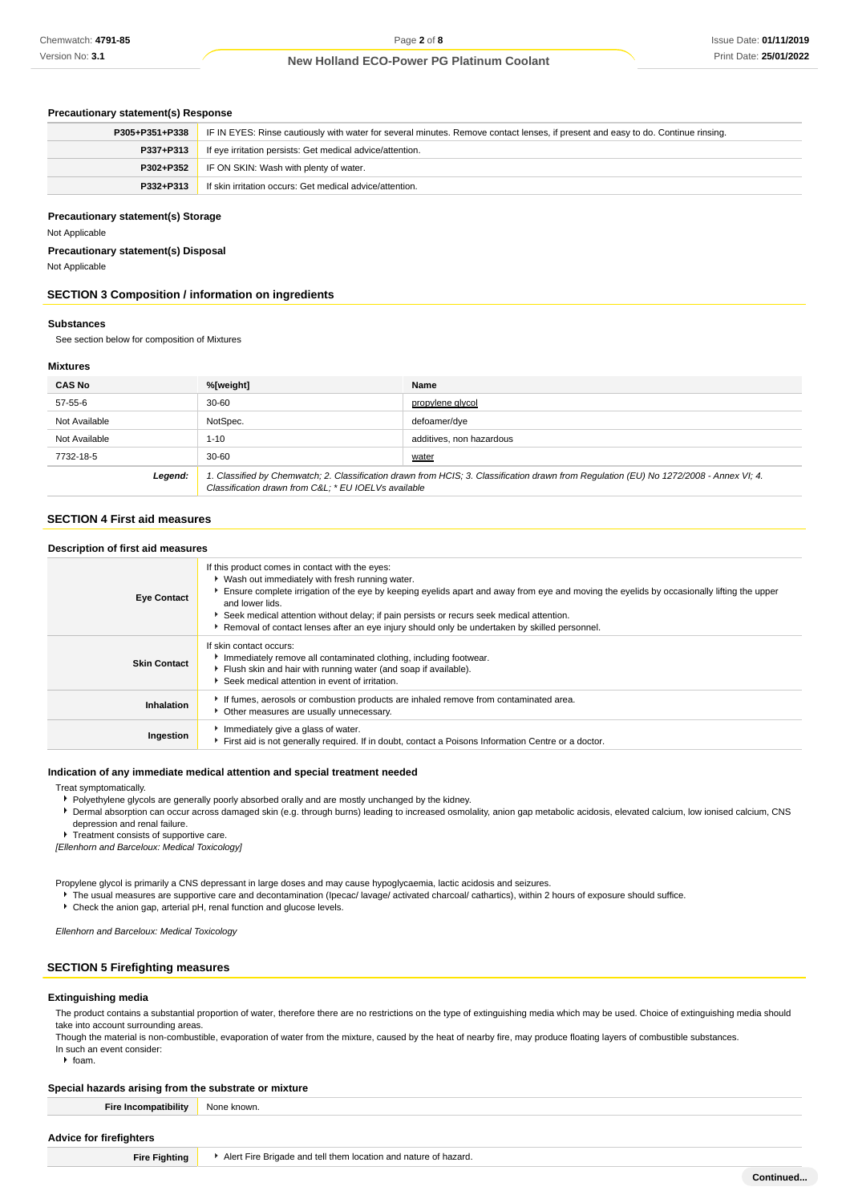#### **Precautionary statement(s) Response**

| P305+P351+P338 | IF IN EYES: Rinse cautiously with water for several minutes. Remove contact lenses, if present and easy to do. Continue rinsing. |  |
|----------------|----------------------------------------------------------------------------------------------------------------------------------|--|
| P337+P313      | If eye irritation persists: Get medical advice/attention.                                                                        |  |
| P302+P352      | IF ON SKIN: Wash with plenty of water.                                                                                           |  |
| P332+P313      | If skin irritation occurs: Get medical advice/attention.                                                                         |  |

#### **Precautionary statement(s) Storage**

Not Applicable

**Precautionary statement(s) Disposal**

Not Applicable

#### **SECTION 3 Composition / information on ingredients**

#### **Substances**

See section below for composition of Mixtures

#### **Mixtures**

| <b>CAS No</b> | %[weight]                                                                                                                                                                                      | Name                     |
|---------------|------------------------------------------------------------------------------------------------------------------------------------------------------------------------------------------------|--------------------------|
| 57-55-6       | $30 - 60$                                                                                                                                                                                      | propylene glycol         |
| Not Available | NotSpec.                                                                                                                                                                                       | defoamer/dve             |
| Not Available | $1 - 10$                                                                                                                                                                                       | additives, non hazardous |
| 7732-18-5     | $30 - 60$                                                                                                                                                                                      | water                    |
| Legend:       | 1. Classified by Chemwatch; 2. Classification drawn from HCIS; 3. Classification drawn from Requlation (EU) No 1272/2008 - Annex VI; 4.<br>Classification drawn from C&L * EU IOELVs available |                          |

#### **SECTION 4 First aid measures**

| Description of first aid measures |                                                                                                                                                                                                                                                                                                                                                                                                                                                                  |
|-----------------------------------|------------------------------------------------------------------------------------------------------------------------------------------------------------------------------------------------------------------------------------------------------------------------------------------------------------------------------------------------------------------------------------------------------------------------------------------------------------------|
| <b>Eye Contact</b>                | If this product comes in contact with the eyes:<br>▶ Wash out immediately with fresh running water.<br>Ensure complete irrigation of the eye by keeping eyelids apart and away from eye and moving the eyelids by occasionally lifting the upper<br>and lower lids.<br>Seek medical attention without delay; if pain persists or recurs seek medical attention.<br>Removal of contact lenses after an eye injury should only be undertaken by skilled personnel. |
| <b>Skin Contact</b>               | If skin contact occurs:<br>Immediately remove all contaminated clothing, including footwear.<br>Flush skin and hair with running water (and soap if available).<br>Seek medical attention in event of irritation.                                                                                                                                                                                                                                                |
| Inhalation                        | If fumes, aerosols or combustion products are inhaled remove from contaminated area.<br>• Other measures are usually unnecessary.                                                                                                                                                                                                                                                                                                                                |
| Ingestion                         | Immediately give a glass of water.<br>First aid is not generally required. If in doubt, contact a Poisons Information Centre or a doctor.                                                                                                                                                                                                                                                                                                                        |

#### **Indication of any immediate medical attention and special treatment needed**

#### Treat symptomatically.

- Polyethylene glycols are generally poorly absorbed orally and are mostly unchanged by the kidney.
- Dermal absorption can occur across damaged skin (e.g. through burns) leading to increased osmolality, anion gap metabolic acidosis, elevated calcium, low ionised calcium, CNS depression and renal failure.

Treatment consists of supportive care.

[Ellenhorn and Barceloux: Medical Toxicology]

Propylene glycol is primarily a CNS depressant in large doses and may cause hypoglycaemia, lactic acidosis and seizures.

- ▶ The usual measures are supportive care and decontamination (Ipecac/ lavage/ activated charcoal/ cathartics), within 2 hours of exposure should suffice.
- Check the anion gap, arterial pH, renal function and glucose levels.

Ellenhorn and Barceloux: Medical Toxicology

## **SECTION 5 Firefighting measures**

#### **Extinguishing media**

The product contains a substantial proportion of water, therefore there are no restrictions on the type of extinguishing media which may be used. Choice of extinguishing media should take into account surrounding areas

Though the material is non-combustible, evaporation of water from the mixture, caused by the heat of nearby fire, may produce floating layers of combustible substances. In such an event consider:

 $h$  foam.

#### **Special hazards arising from the substrate or mixture**

| <b>Fire Incompatibility</b>    | None known.                                                     |  |
|--------------------------------|-----------------------------------------------------------------|--|
| <b>Advice for firefighters</b> |                                                                 |  |
| <b>Fire Fighting</b>           | Alert Fire Brigade and tell them location and nature of hazard. |  |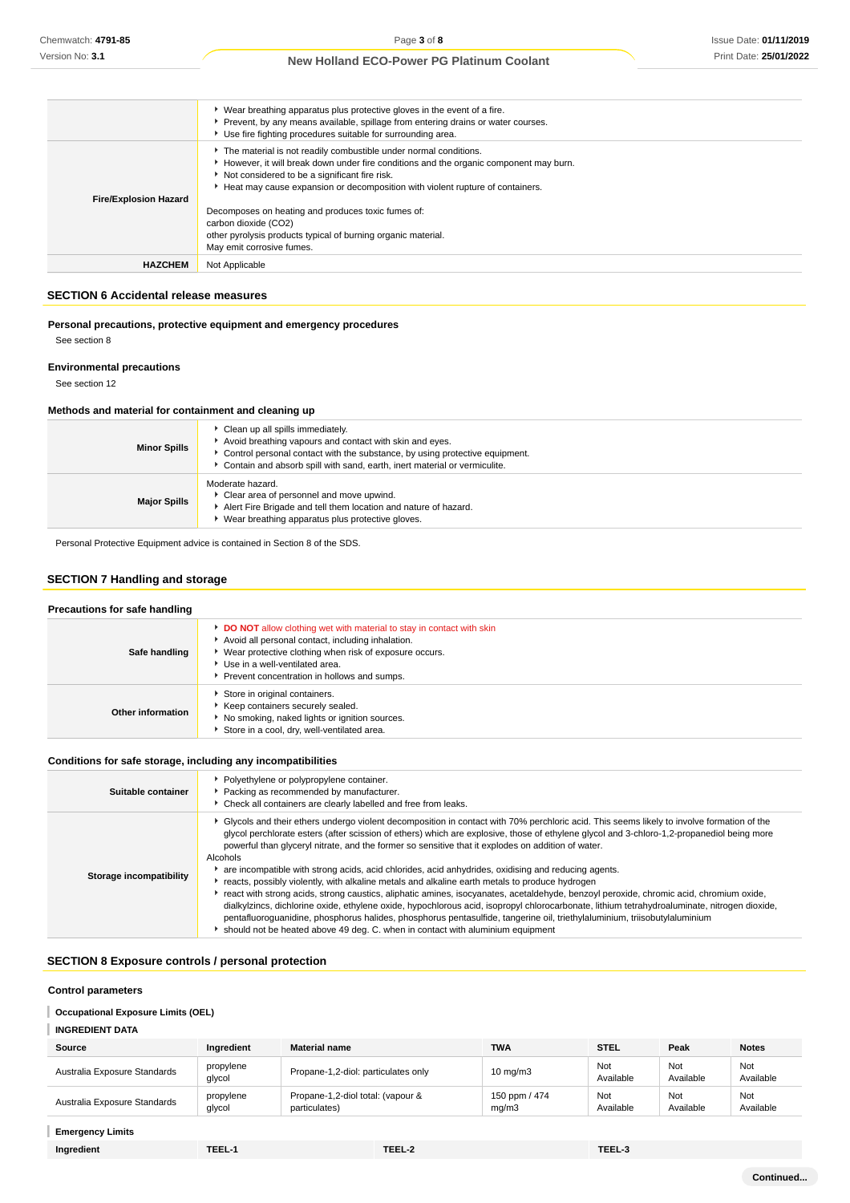|                              | ▶ Wear breathing apparatus plus protective gloves in the event of a fire.<br>Prevent, by any means available, spillage from entering drains or water courses.<br>▶ Use fire fighting procedures suitable for surrounding area.                                                              |
|------------------------------|---------------------------------------------------------------------------------------------------------------------------------------------------------------------------------------------------------------------------------------------------------------------------------------------|
| <b>Fire/Explosion Hazard</b> | The material is not readily combustible under normal conditions.<br>However, it will break down under fire conditions and the organic component may burn.<br>Not considered to be a significant fire risk.<br>Heat may cause expansion or decomposition with violent rupture of containers. |
|                              | Decomposes on heating and produces toxic fumes of:<br>carbon dioxide (CO2)<br>other pyrolysis products typical of burning organic material.<br>May emit corrosive fumes.                                                                                                                    |
| <b>HAZCHEM</b>               | Not Applicable                                                                                                                                                                                                                                                                              |

## **SECTION 6 Accidental release measures**

**Personal precautions, protective equipment and emergency procedures**

See section 8

#### **Environmental precautions**

See section 12

#### **Methods and material for containment and cleaning up**

| <b>Minor Spills</b> | Clean up all spills immediately.<br>Avoid breathing vapours and contact with skin and eyes.<br>Control personal contact with the substance, by using protective equipment.<br>• Contain and absorb spill with sand, earth, inert material or vermiculite. |
|---------------------|-----------------------------------------------------------------------------------------------------------------------------------------------------------------------------------------------------------------------------------------------------------|
| <b>Major Spills</b> | Moderate hazard.<br>Clear area of personnel and move upwind.<br>Alert Fire Brigade and tell them location and nature of hazard.<br>Wear breathing apparatus plus protective gloves.                                                                       |

Personal Protective Equipment advice is contained in Section 8 of the SDS.

#### **SECTION 7 Handling and storage**

#### **Precautions for safe handling Safe handling DO NOT** allow clothing wet with material to stay in contact with skin Avoid all personal contact, including inhalation. Wear protective clothing when risk of exposure occurs. Use in a well-ventilated area. **Prevent concentration in hollows and sumps. Other information** Store in original containers. Keep containers securely sealed.  $\blacktriangleright$  No smoking, naked lights or ignition sources. Store in a cool, dry, well-ventilated area.

#### **Conditions for safe storage, including any incompatibilities**

| Suitable container      | • Polyethylene or polypropylene container.<br>Packing as recommended by manufacturer.<br>• Check all containers are clearly labelled and free from leaks.                                                                                                                                                                                                                                                                                                                                                                                                                                                                                                                                                                                                                                                                                                                                                                                                                                                                                                                                                                          |
|-------------------------|------------------------------------------------------------------------------------------------------------------------------------------------------------------------------------------------------------------------------------------------------------------------------------------------------------------------------------------------------------------------------------------------------------------------------------------------------------------------------------------------------------------------------------------------------------------------------------------------------------------------------------------------------------------------------------------------------------------------------------------------------------------------------------------------------------------------------------------------------------------------------------------------------------------------------------------------------------------------------------------------------------------------------------------------------------------------------------------------------------------------------------|
| Storage incompatibility | ► Glycols and their ethers undergo violent decomposition in contact with 70% perchloric acid. This seems likely to involve formation of the<br>glycol perchlorate esters (after scission of ethers) which are explosive, those of ethylene glycol and 3-chloro-1,2-propanediol being more<br>powerful than glyceryl nitrate, and the former so sensitive that it explodes on addition of water.<br>Alcohols<br>are incompatible with strong acids, acid chlorides, acid anhydrides, oxidising and reducing agents.<br>reacts, possibly violently, with alkaline metals and alkaline earth metals to produce hydrogen<br>► react with strong acids, strong caustics, aliphatic amines, isocyanates, acetaldehyde, benzoyl peroxide, chromic acid, chromium oxide,<br>dialkylzincs, dichlorine oxide, ethylene oxide, hypochlorous acid, isopropyl chlorocarbonate, lithium tetrahydroaluminate, nitrogen dioxide,<br>pentafluoroquanidine, phosphorus halides, phosphorus pentasulfide, tangerine oil, triethylaluminium, triisobutylaluminium<br>If should not be heated above 49 deg. C. when in contact with aluminium equipment |

## **SECTION 8 Exposure controls / personal protection**

#### **Control parameters**

#### ı **Occupational Exposure Limits (OEL)**

## **INGREDIENT DATA**

| Source                       | Ingredient          | <b>Material name</b>                               | <b>TWA</b>             | <b>STEL</b>      | Peak             | <b>Notes</b>     |
|------------------------------|---------------------|----------------------------------------------------|------------------------|------------------|------------------|------------------|
| Australia Exposure Standards | propylene<br>glycol | Propane-1,2-diol: particulates only                | $10 \text{ mg/m}$ 3    | Not<br>Available | Not<br>Available | Not<br>Available |
| Australia Exposure Standards | propylene<br>glycol | Propane-1,2-diol total: (vapour &<br>particulates) | 150 ppm / 474<br>mq/m3 | Not<br>Available | Not<br>Available | Not<br>Available |

## **Emergency Limits**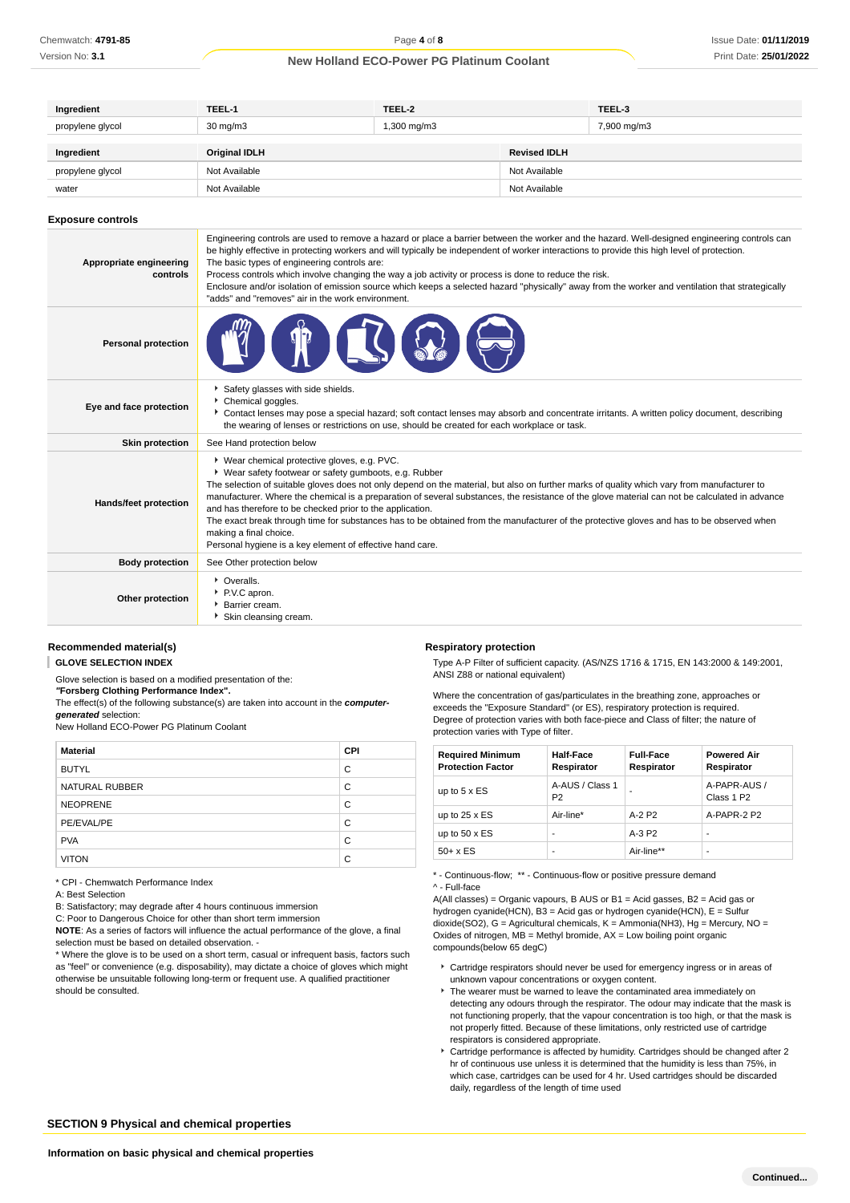| Ingredient       | TEEL-1            | TEEL-2      |                     | TEEL-3      |
|------------------|-------------------|-------------|---------------------|-------------|
| propylene glycol | $30 \text{ mg/m}$ | 1,300 mg/m3 |                     | 7,900 mg/m3 |
| Ingredient       | Original IDLH     |             | <b>Revised IDLH</b> |             |
|                  |                   |             |                     |             |
| propylene glycol | Not Available     |             | Not Available       |             |
| water            | Not Available     |             | Not Available       |             |

#### **Exposure controls**

| Appropriate engineering<br>controls | Engineering controls are used to remove a hazard or place a barrier between the worker and the hazard. Well-designed engineering controls can<br>be highly effective in protecting workers and will typically be independent of worker interactions to provide this high level of protection.<br>The basic types of engineering controls are:<br>Process controls which involve changing the way a job activity or process is done to reduce the risk.<br>Enclosure and/or isolation of emission source which keeps a selected hazard "physically" away from the worker and ventilation that strategically<br>"adds" and "removes" air in the work environment.                                          |
|-------------------------------------|----------------------------------------------------------------------------------------------------------------------------------------------------------------------------------------------------------------------------------------------------------------------------------------------------------------------------------------------------------------------------------------------------------------------------------------------------------------------------------------------------------------------------------------------------------------------------------------------------------------------------------------------------------------------------------------------------------|
| <b>Personal protection</b>          |                                                                                                                                                                                                                                                                                                                                                                                                                                                                                                                                                                                                                                                                                                          |
| Eye and face protection             | Safety glasses with side shields.<br>Chemical goggles.<br>▶ Contact lenses may pose a special hazard; soft contact lenses may absorb and concentrate irritants. A written policy document, describing<br>the wearing of lenses or restrictions on use, should be created for each workplace or task.                                                                                                                                                                                                                                                                                                                                                                                                     |
| <b>Skin protection</b>              | See Hand protection below                                                                                                                                                                                                                                                                                                                                                                                                                                                                                                                                                                                                                                                                                |
| Hands/feet protection               | ▶ Wear chemical protective gloves, e.g. PVC.<br>* Wear safety footwear or safety gumboots, e.g. Rubber<br>The selection of suitable gloves does not only depend on the material, but also on further marks of quality which vary from manufacturer to<br>manufacturer. Where the chemical is a preparation of several substances, the resistance of the glove material can not be calculated in advance<br>and has therefore to be checked prior to the application.<br>The exact break through time for substances has to be obtained from the manufacturer of the protective gloves and has to be observed when<br>making a final choice.<br>Personal hygiene is a key element of effective hand care. |
| <b>Body protection</b>              | See Other protection below                                                                                                                                                                                                                                                                                                                                                                                                                                                                                                                                                                                                                                                                               |
| Other protection                    | • Overalls.<br>P.V.C apron.<br>▶ Barrier cream.<br>Skin cleansing cream.                                                                                                                                                                                                                                                                                                                                                                                                                                                                                                                                                                                                                                 |

## **Recommended material(s)**

**GLOVE SELECTION INDEX**

Glove selection is based on a modified presentation of the: **"Forsberg Clothing Performance Index".**

The effect(s) of the following substance(s) are taken into account in the **computergenerated** selection:

New Holland ECO-Power PG Platinum Coolant

| <b>Material</b> | CPI |
|-----------------|-----|
| <b>BUTYL</b>    | C   |
| NATURAL RUBBER  | C   |
| <b>NEOPRENE</b> | C   |
| PE/EVAL/PE      | C   |
| <b>PVA</b>      | C   |
| <b>VITON</b>    | C   |

\* CPI - Chemwatch Performance Index

A: Best Selection

B: Satisfactory; may degrade after 4 hours continuous immersion

C: Poor to Dangerous Choice for other than short term immersion

**NOTE**: As a series of factors will influence the actual performance of the glove, a final selection must be based on detailed observation. -

\* Where the glove is to be used on a short term, casual or infrequent basis, factors such as "feel" or convenience (e.g. disposability), may dictate a choice of gloves which might otherwise be unsuitable following long-term or frequent use. A qualified practitioner should be consulted.

#### **Respiratory protection**

Type A-P Filter of sufficient capacity. (AS/NZS 1716 & 1715, EN 143:2000 & 149:2001, ANSI Z88 or national equivalent)

Where the concentration of gas/particulates in the breathing zone, approaches or exceeds the "Exposure Standard" (or ES), respiratory protection is required. Degree of protection varies with both face-piece and Class of filter; the nature of protection varies with Type of filter.

| <b>Required Minimum</b><br><b>Protection Factor</b> | <b>Half-Face</b><br>Respirator    | <b>Full-Face</b><br>Respirator | <b>Powered Air</b><br>Respirator       |
|-----------------------------------------------------|-----------------------------------|--------------------------------|----------------------------------------|
| up to $5 \times ES$                                 | A-AUS / Class 1<br>P <sub>2</sub> |                                | A-PAPR-AUS /<br>Class 1 P <sub>2</sub> |
| up to $25 \times ES$                                | Air-line*                         | $A-2P2$                        | A-PAPR-2 P2                            |
| up to $50 \times ES$                                |                                   | $A-3P2$                        | -                                      |
| $50+ x ES$                                          |                                   | Air-line**                     | -                                      |

\* - Continuous-flow; \*\* - Continuous-flow or positive pressure demand

^ - Full-face

A(All classes) = Organic vapours, B AUS or B1 = Acid gasses, B2 = Acid gas or hydrogen cyanide(HCN), B3 = Acid gas or hydrogen cyanide(HCN), E = Sulfur dioxide(SO2), G = Agricultural chemicals, K = Ammonia(NH3), Hg = Mercury, NO = Oxides of nitrogen,  $MB =$  Methyl bromide,  $AX =$  Low boiling point organic compounds(below 65 degC)

- Cartridge respirators should never be used for emergency ingress or in areas of unknown vapour concentrations or oxygen content.
- $\blacktriangleright$  The wearer must be warned to leave the contaminated area immediately on detecting any odours through the respirator. The odour may indicate that the mask is not functioning properly, that the vapour concentration is too high, or that the mask is not properly fitted. Because of these limitations, only restricted use of cartridge respirators is considered appropriate.
- Cartridge performance is affected by humidity. Cartridges should be changed after 2 hr of continuous use unless it is determined that the humidity is less than 75%, in which case, cartridges can be used for 4 hr. Used cartridges should be discarded daily, regardless of the length of time used

**SECTION 9 Physical and chemical properties**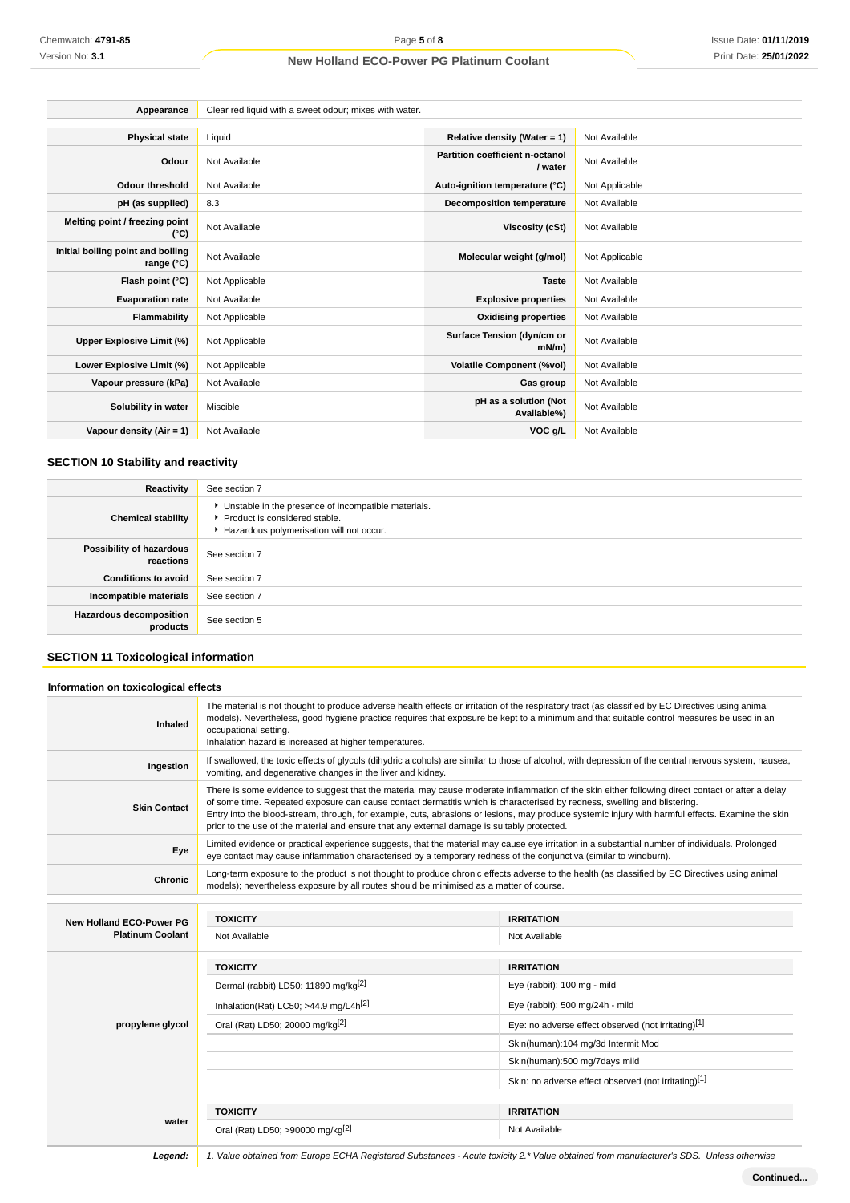| Appearance                                      | Clear red liquid with a sweet odour; mixes with water. |                                            |                |
|-------------------------------------------------|--------------------------------------------------------|--------------------------------------------|----------------|
|                                                 |                                                        |                                            |                |
| <b>Physical state</b>                           | Liquid                                                 | Relative density (Water = 1)               | Not Available  |
| Odour                                           | Not Available                                          | Partition coefficient n-octanol<br>/ water | Not Available  |
| <b>Odour threshold</b>                          | Not Available                                          | Auto-ignition temperature (°C)             | Not Applicable |
| pH (as supplied)                                | 8.3                                                    | <b>Decomposition temperature</b>           | Not Available  |
| Melting point / freezing point<br>(°C)          | Not Available                                          | Viscosity (cSt)                            | Not Available  |
| Initial boiling point and boiling<br>range (°C) | Not Available                                          | Molecular weight (g/mol)                   | Not Applicable |
| Flash point (°C)                                | Not Applicable                                         | <b>Taste</b>                               | Not Available  |
| <b>Evaporation rate</b>                         | Not Available                                          | <b>Explosive properties</b>                | Not Available  |
| Flammability                                    | Not Applicable                                         | <b>Oxidising properties</b>                | Not Available  |
| Upper Explosive Limit (%)                       | Not Applicable                                         | Surface Tension (dyn/cm or<br>$mN/m$ )     | Not Available  |
| Lower Explosive Limit (%)                       | Not Applicable                                         | <b>Volatile Component (%vol)</b>           | Not Available  |
| Vapour pressure (kPa)                           | Not Available                                          | Gas group                                  | Not Available  |
| Solubility in water                             | Miscible                                               | pH as a solution (Not<br>Available%)       | Not Available  |
| Vapour density (Air = 1)                        | Not Available                                          | VOC g/L                                    | Not Available  |

## **SECTION 10 Stability and reactivity**

| Reactivity                            | See section 7                                                                                                                        |
|---------------------------------------|--------------------------------------------------------------------------------------------------------------------------------------|
| <b>Chemical stability</b>             | • Unstable in the presence of incompatible materials.<br>▶ Product is considered stable.<br>Hazardous polymerisation will not occur. |
| Possibility of hazardous<br>reactions | See section 7                                                                                                                        |
| <b>Conditions to avoid</b>            | See section 7                                                                                                                        |
| Incompatible materials                | See section 7                                                                                                                        |
| Hazardous decomposition<br>products   | See section 5                                                                                                                        |

## **SECTION 11 Toxicological information**

| <b>Inhaled</b>                  | The material is not thought to produce adverse health effects or irritation of the respiratory tract (as classified by EC Directives using animal<br>models). Nevertheless, good hygiene practice requires that exposure be kept to a minimum and that suitable control measures be used in an<br>occupational setting.<br>Inhalation hazard is increased at higher temperatures.                                                                                                                                                |                                                      |  |  |
|---------------------------------|----------------------------------------------------------------------------------------------------------------------------------------------------------------------------------------------------------------------------------------------------------------------------------------------------------------------------------------------------------------------------------------------------------------------------------------------------------------------------------------------------------------------------------|------------------------------------------------------|--|--|
| Ingestion                       | If swallowed, the toxic effects of glycols (dihydric alcohols) are similar to those of alcohol, with depression of the central nervous system, nausea,<br>vomiting, and degenerative changes in the liver and kidney.                                                                                                                                                                                                                                                                                                            |                                                      |  |  |
| <b>Skin Contact</b>             | There is some evidence to suggest that the material may cause moderate inflammation of the skin either following direct contact or after a delay<br>of some time. Repeated exposure can cause contact dermatitis which is characterised by redness, swelling and blistering.<br>Entry into the blood-stream, through, for example, cuts, abrasions or lesions, may produce systemic injury with harmful effects. Examine the skin<br>prior to the use of the material and ensure that any external damage is suitably protected. |                                                      |  |  |
| Eye                             | Limited evidence or practical experience suggests, that the material may cause eye irritation in a substantial number of individuals. Prolonged<br>eye contact may cause inflammation characterised by a temporary redness of the conjunctiva (similar to windburn).                                                                                                                                                                                                                                                             |                                                      |  |  |
| Chronic                         | Long-term exposure to the product is not thought to produce chronic effects adverse to the health (as classified by EC Directives using animal<br>models); nevertheless exposure by all routes should be minimised as a matter of course.                                                                                                                                                                                                                                                                                        |                                                      |  |  |
|                                 |                                                                                                                                                                                                                                                                                                                                                                                                                                                                                                                                  |                                                      |  |  |
| <b>New Holland ECO-Power PG</b> | <b>TOXICITY</b>                                                                                                                                                                                                                                                                                                                                                                                                                                                                                                                  | <b>IRRITATION</b>                                    |  |  |
| <b>Platinum Coolant</b>         | Not Available                                                                                                                                                                                                                                                                                                                                                                                                                                                                                                                    | Not Available                                        |  |  |
|                                 | <b>TOXICITY</b>                                                                                                                                                                                                                                                                                                                                                                                                                                                                                                                  | <b>IRRITATION</b>                                    |  |  |
|                                 | Dermal (rabbit) LD50: 11890 mg/kg <sup>[2]</sup>                                                                                                                                                                                                                                                                                                                                                                                                                                                                                 | Eye (rabbit): 100 mg - mild                          |  |  |
|                                 | Inhalation(Rat) LC50; >44.9 mg/L4 $h^{[2]}$                                                                                                                                                                                                                                                                                                                                                                                                                                                                                      | Eye (rabbit): 500 mg/24h - mild                      |  |  |
| propylene glycol                | Oral (Rat) LD50; 20000 mg/kg <sup>[2]</sup>                                                                                                                                                                                                                                                                                                                                                                                                                                                                                      | Eye: no adverse effect observed (not irritating)[1]  |  |  |
|                                 |                                                                                                                                                                                                                                                                                                                                                                                                                                                                                                                                  | Skin(human):104 mg/3d Intermit Mod                   |  |  |
|                                 |                                                                                                                                                                                                                                                                                                                                                                                                                                                                                                                                  | Skin(human):500 mg/7days mild                        |  |  |
|                                 |                                                                                                                                                                                                                                                                                                                                                                                                                                                                                                                                  | Skin: no adverse effect observed (not irritating)[1] |  |  |
|                                 | <b>TOXICITY</b>                                                                                                                                                                                                                                                                                                                                                                                                                                                                                                                  | <b>IRRITATION</b>                                    |  |  |
| water                           | Oral (Rat) LD50; >90000 mg/kg <sup>[2]</sup>                                                                                                                                                                                                                                                                                                                                                                                                                                                                                     | Not Available                                        |  |  |
|                                 |                                                                                                                                                                                                                                                                                                                                                                                                                                                                                                                                  |                                                      |  |  |

**Legend:** 1. Value obtained from Europe ECHA Registered Substances - Acute toxicity 2.\* Value obtained from manufacturer's SDS. Unless otherwise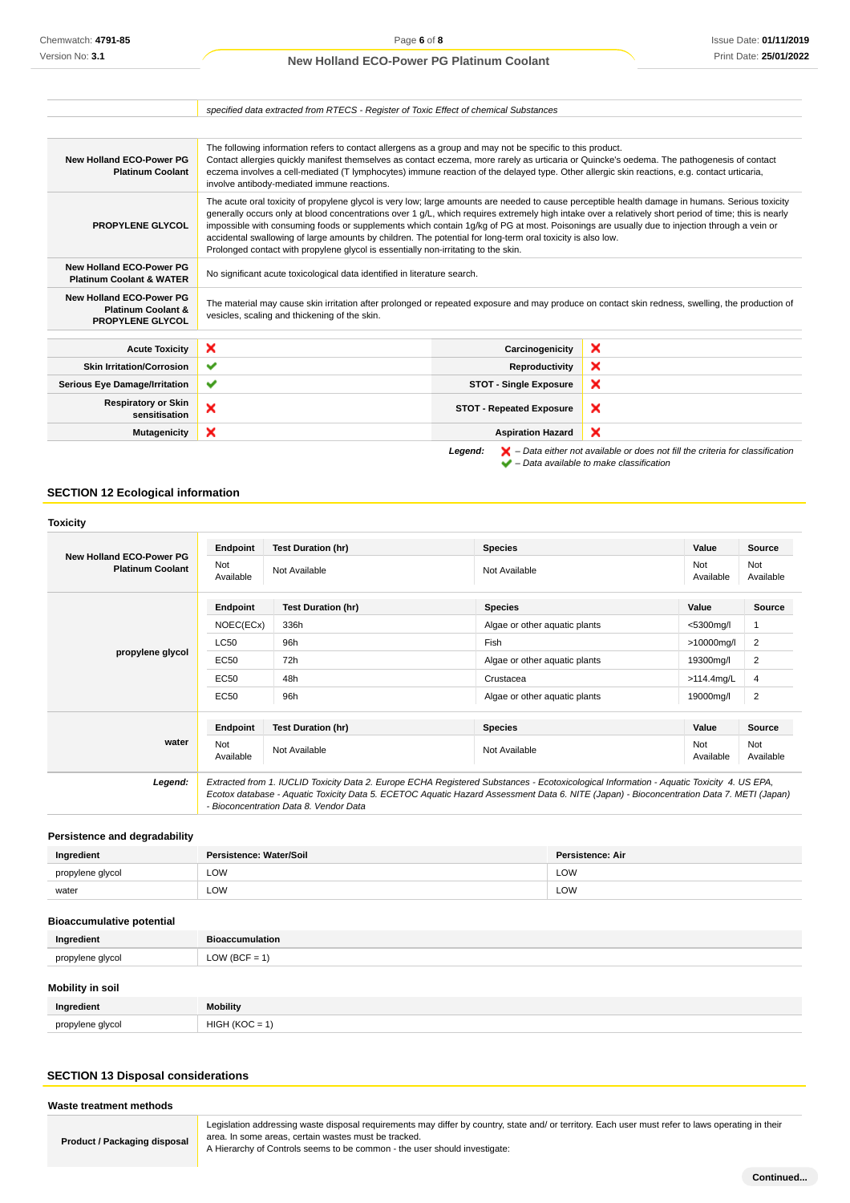| <b>New Holland ECO-Power PG</b><br><b>Platinum Coolant</b>                           | The following information refers to contact allergens as a group and may not be specific to this product.<br>Contact allergies quickly manifest themselves as contact eczema, more rarely as urticaria or Quincke's oedema. The pathogenesis of contact<br>eczema involves a cell-mediated (T lymphocytes) immune reaction of the delayed type. Other allergic skin reactions, e.g. contact urticaria,<br>involve antibody-mediated immune reactions.                                                                                                                                                                                                        |                                 |   |  |
|--------------------------------------------------------------------------------------|--------------------------------------------------------------------------------------------------------------------------------------------------------------------------------------------------------------------------------------------------------------------------------------------------------------------------------------------------------------------------------------------------------------------------------------------------------------------------------------------------------------------------------------------------------------------------------------------------------------------------------------------------------------|---------------------------------|---|--|
| PROPYLENE GLYCOL                                                                     | The acute oral toxicity of propylene glycol is very low; large amounts are needed to cause perceptible health damage in humans. Serious toxicity<br>generally occurs only at blood concentrations over 1 g/L, which requires extremely high intake over a relatively short period of time; this is nearly<br>impossible with consuming foods or supplements which contain 1g/kg of PG at most. Poisonings are usually due to injection through a vein or<br>accidental swallowing of large amounts by children. The potential for long-term oral toxicity is also low.<br>Prolonged contact with propylene glycol is essentially non-irritating to the skin. |                                 |   |  |
| <b>New Holland ECO-Power PG</b><br><b>Platinum Coolant &amp; WATER</b>               | No significant acute toxicological data identified in literature search.                                                                                                                                                                                                                                                                                                                                                                                                                                                                                                                                                                                     |                                 |   |  |
| New Holland ECO-Power PG<br><b>Platinum Coolant &amp;</b><br><b>PROPYLENE GLYCOL</b> | The material may cause skin irritation after prolonged or repeated exposure and may produce on contact skin redness, swelling, the production of<br>vesicles, scaling and thickening of the skin.                                                                                                                                                                                                                                                                                                                                                                                                                                                            |                                 |   |  |
| <b>Acute Toxicity</b>                                                                | ×                                                                                                                                                                                                                                                                                                                                                                                                                                                                                                                                                                                                                                                            | Carcinogenicity                 | × |  |
| <b>Skin Irritation/Corrosion</b>                                                     | ✔                                                                                                                                                                                                                                                                                                                                                                                                                                                                                                                                                                                                                                                            | Reproductivity                  | × |  |
|                                                                                      | ✔                                                                                                                                                                                                                                                                                                                                                                                                                                                                                                                                                                                                                                                            | <b>STOT - Single Exposure</b>   | × |  |
|                                                                                      |                                                                                                                                                                                                                                                                                                                                                                                                                                                                                                                                                                                                                                                              |                                 |   |  |
| <b>Serious Eye Damage/Irritation</b><br><b>Respiratory or Skin</b><br>sensitisation  | ×                                                                                                                                                                                                                                                                                                                                                                                                                                                                                                                                                                                                                                                            | <b>STOT - Repeated Exposure</b> | × |  |

## **SECTION 12 Ecological information**

## **Toxicity**

|                                                            | Endpoint                                                                                                                                                                                                                                                                                                                       | <b>Test Duration (hr)</b> | <b>Species</b>                | Value                                                                               | <b>Source</b>    |
|------------------------------------------------------------|--------------------------------------------------------------------------------------------------------------------------------------------------------------------------------------------------------------------------------------------------------------------------------------------------------------------------------|---------------------------|-------------------------------|-------------------------------------------------------------------------------------|------------------|
| <b>New Holland ECO-Power PG</b><br><b>Platinum Coolant</b> | Not<br>Available                                                                                                                                                                                                                                                                                                               | Not Available             | Not Available                 | Not<br>Available                                                                    | Not<br>Available |
|                                                            | Endpoint                                                                                                                                                                                                                                                                                                                       | <b>Test Duration (hr)</b> | <b>Species</b>                | Value                                                                               | Source           |
|                                                            | NOEC(ECx)                                                                                                                                                                                                                                                                                                                      | 336h                      | Algae or other aquatic plants | $<$ 5300 $mq/l$<br>1<br>$\overline{2}$<br>>10000mg/l<br>$\overline{2}$<br>19300mg/l |                  |
|                                                            | LC50                                                                                                                                                                                                                                                                                                                           | 96h                       | Fish                          |                                                                                     |                  |
|                                                            | propylene glycol<br><b>EC50</b><br>72h<br>Algae or other aquatic plants                                                                                                                                                                                                                                                        |                           |                               |                                                                                     |                  |
|                                                            | <b>EC50</b>                                                                                                                                                                                                                                                                                                                    | 48h                       | Crustacea                     | $\overline{4}$<br>$>114.4$ mg/L                                                     |                  |
|                                                            | EC50                                                                                                                                                                                                                                                                                                                           | 96h                       | Algae or other aquatic plants | 19000mg/l                                                                           | $\overline{2}$   |
|                                                            | Endpoint                                                                                                                                                                                                                                                                                                                       | <b>Test Duration (hr)</b> | <b>Species</b>                | Value                                                                               | <b>Source</b>    |
| water                                                      | Not<br>Available                                                                                                                                                                                                                                                                                                               | Not Available             | Not Available                 | Not<br>Available                                                                    | Not<br>Available |
| Legend:                                                    | Extracted from 1. IUCLID Toxicity Data 2. Europe ECHA Registered Substances - Ecotoxicological Information - Aquatic Toxicity 4. US EPA,<br>Ecotox database - Aquatic Toxicity Data 5. ECETOC Aquatic Hazard Assessment Data 6. NITE (Japan) - Bioconcentration Data 7. METI (Japan)<br>- Bioconcentration Data 8. Vendor Data |                           |                               |                                                                                     |                  |

**Persistence and degradability**

| Ingredient       | Persistence: Water/Soil     | <b>Persistence: Air</b> |
|------------------|-----------------------------|-------------------------|
| propylene glycol | LOW                         | LOW                     |
| water            | LOW<br>$\sim$ $\sim$ $\sim$ | LOW                     |

#### **Bioaccumulative potential**

| Ingredient       | <b>Bioaccumulation</b> |
|------------------|------------------------|
| propylene glycol | LOW (BCF = $1$ )       |
|                  |                        |

## **Mobility in soil**

| Ingredient       | Mobility   |
|------------------|------------|
| propylene alvcol | 41C<br>. . |

## **SECTION 13 Disposal considerations**

**Waste treatment methods**

| <b>Product / Packaging disposal</b> |  |  |  |
|-------------------------------------|--|--|--|
|-------------------------------------|--|--|--|

Legislation addressing waste disposal requirements may differ by country, state and/ or territory. Each user must refer to laws operating in their area. In some areas, certain wastes must be tracked.

A Hierarchy of Controls seems to be common - the user should investigate: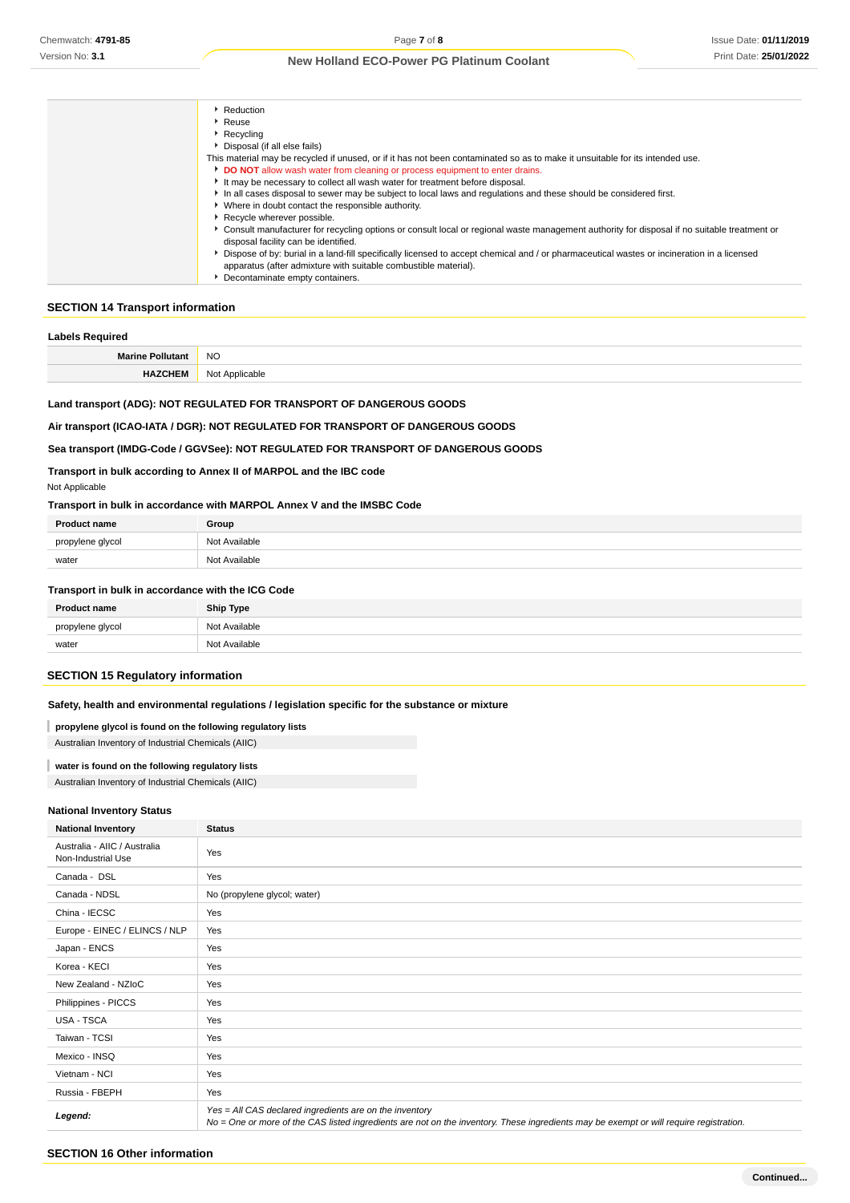| Reduction                                                                                                                                     |
|-----------------------------------------------------------------------------------------------------------------------------------------------|
| $\cdot$ Reuse                                                                                                                                 |
| $\blacktriangleright$ Recycling                                                                                                               |
| Disposal (if all else fails)                                                                                                                  |
| This material may be recycled if unused, or if it has not been contaminated so as to make it unsuitable for its intended use.                 |
| DO NOT allow wash water from cleaning or process equipment to enter drains.                                                                   |
| It may be necessary to collect all wash water for treatment before disposal.                                                                  |
| In all cases disposal to sewer may be subject to local laws and regulations and these should be considered first.                             |
| • Where in doubt contact the responsible authority.                                                                                           |
| Recycle wherever possible.                                                                                                                    |
| • Consult manufacturer for recycling options or consult local or regional waste management authority for disposal if no suitable treatment or |
| disposal facility can be identified.                                                                                                          |
| Dispose of by: burial in a land-fill specifically licensed to accept chemical and / or pharmaceutical wastes or incineration in a licensed    |
| apparatus (after admixture with suitable combustible material).                                                                               |
| Decontaminate empty containers.                                                                                                               |

#### **SECTION 14 Transport information**

## **Labels Required**

| <b>Marine Pollutant</b> | <b>NO</b>  |
|-------------------------|------------|
|                         | $\sim$     |
| <b>HAZCHI</b>           | Not        |
|                         | Applicable |

## **Land transport (ADG): NOT REGULATED FOR TRANSPORT OF DANGEROUS GOODS**

## **Air transport (ICAO-IATA / DGR): NOT REGULATED FOR TRANSPORT OF DANGEROUS GOODS**

#### **Sea transport (IMDG-Code / GGVSee): NOT REGULATED FOR TRANSPORT OF DANGEROUS GOODS**

## **Transport in bulk according to Annex II of MARPOL and the IBC code**

#### Not Applicable

#### **Transport in bulk in accordance with MARPOL Annex V and the IMSBC Code**

| <b>Product</b><br>t name | Group             |
|--------------------------|-------------------|
| propylene alvcol         | Nl∩t<br>Available |
| water                    | Available<br>Not  |

#### **Transport in bulk in accordance with the ICG Code**

| <b>Product name</b> | <b>Ship Type</b> |
|---------------------|------------------|
| propylene glycol    | Not Available    |
| water               | Not Available    |

## **SECTION 15 Regulatory information**

#### **Safety, health and environmental regulations / legislation specific for the substance or mixture**

**propylene glycol is found on the following regulatory lists**

Australian Inventory of Industrial Chemicals (AIIC)

#### **water is found on the following regulatory lists**

Australian Inventory of Industrial Chemicals (AIIC)

## **National Inventory Status**

| <b>National Inventory</b>                          | <b>Status</b>                                                                                                                                                                                     |  |
|----------------------------------------------------|---------------------------------------------------------------------------------------------------------------------------------------------------------------------------------------------------|--|
| Australia - AIIC / Australia<br>Non-Industrial Use | Yes                                                                                                                                                                                               |  |
| Canada - DSL                                       | Yes                                                                                                                                                                                               |  |
| Canada - NDSL                                      | No (propylene glycol; water)                                                                                                                                                                      |  |
| China - IECSC                                      | Yes                                                                                                                                                                                               |  |
| Europe - EINEC / ELINCS / NLP                      | Yes                                                                                                                                                                                               |  |
| Japan - ENCS                                       | Yes                                                                                                                                                                                               |  |
| Korea - KECI                                       | Yes                                                                                                                                                                                               |  |
| New Zealand - NZIoC                                | Yes                                                                                                                                                                                               |  |
| Philippines - PICCS                                | Yes                                                                                                                                                                                               |  |
| USA - TSCA                                         | Yes                                                                                                                                                                                               |  |
| Taiwan - TCSI                                      | Yes                                                                                                                                                                                               |  |
| Mexico - INSQ                                      | Yes                                                                                                                                                                                               |  |
| Vietnam - NCI                                      | Yes                                                                                                                                                                                               |  |
| Russia - FBEPH                                     | Yes                                                                                                                                                                                               |  |
| Legend:                                            | Yes = All CAS declared ingredients are on the inventory<br>No = One or more of the CAS listed ingredients are not on the inventory. These ingredients may be exempt or will require registration. |  |